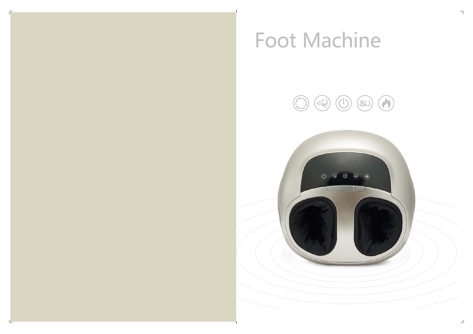

# **Foot Machine**

 $\pm 1$ 



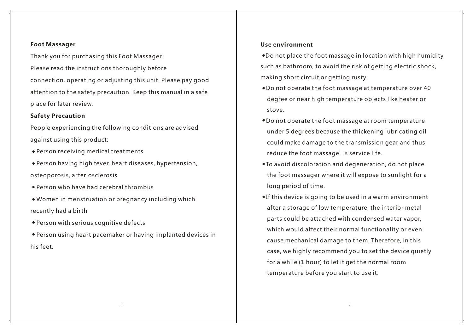## **Foot Massager**

Thank you for purchasing this Foot Massager. Please read the instructions thoroughly before connection, operating or adjusting this unit. Please pay good attention to the safety precaution. Keep this manual in a safe place for later review.

# **Safety Precaution**

People experiencing the following conditions are advised against using this product:

- Person receiving medical treatments
- Person having high fever, heart diseases, hypertension, osteoporosis, arteriosclerosis
- Person who have had cerebral thrombus
- Women in menstruation or pregnancy including which recently had a birth
- Person with serious cognitive defects
- Person using heart pacemaker or having implanted devices in his feet.

## **Use environment**

Do not place the foot massage in location with high humidity such as bathroom, to avoid the risk of getting electric shock, making short circuit or getting rusty.

- Do not operate the foot massage at temperature over 40 degree or near high temperature objects like heater or stove.
- Do not operate the foot massage at room temperature under 5 degrees because the thickening lubricating oil could make damage to the transmission gear and thus reduce the foot massage's service life.
- To avoid discoloration and degeneration, do not place the foot massager where it will expose to sunlight for a long period of time.
- If this device is going to be used in a warm environment after a storage of low temperature, the interior metal parts could be attached with condensed water vapor, which would affect their normal functionality or even cause mechanical damage to them. Therefore, in this case, we highly recommend you to set the device quietly for a while (1 hour) to let it get the normal room temperature before you start to use it.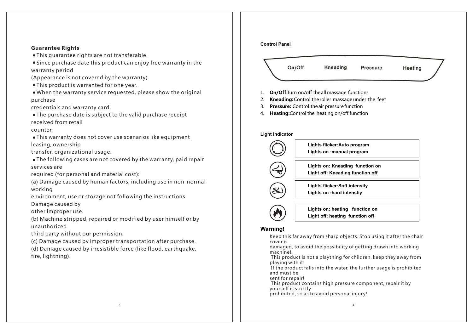#### **Guarantee Rights**

- This guarantee rights are not transferable.
- Since purchase date this product can enjoy free warranty in the warranty period

(Appearance is not covered by the warranty).

This product is warranted for one year.

When the warranty service requested, please show the original purchase

credentials and warranty card.

The purchase date is subject to the valid purchase receipt received from retail

counter.

This warranty does not cover use scenarios like equipment leasing, ownership

transfer, organizational usage.

The following cases are not covered by the warranty, paid repair services are

required (for personal and material cost):

(a) Damage caused by human factors, including use in non-normal working

environment, use or storage not following the instructions.

Damage caused by

other improper use.

(b) Machine stripped, repaired or modified by user himself or by unauthorized

third party without our permission.

(c) Damage caused by improper transportation after purchase.

(d) Damage caused by irresistible force (like flood, earthquake, fire, lightning).

# **Control Panel** On/Off Kneading Pressure Heating 1. **On/Off:**Turn on/off theall massage functions 2. **Kneading:**Control theroller massage under the feet 3. **Pressure:** Control theair pressurefunction 4. **Heating:**Control the heating on/off function **Light Indicator Lights flicker:Auto program Lights on :manual program Lights on: Kneading function on**

**Light off: Kneading function off**

**Lights flicker:Soft intensity Lights on :hard intenstiy**

**Lights on: heating function on Light off: heating function off**

### **Warning!**

Keep this far away from sharp objects. Stop using it after the chair cover is

damaged, to avoid the possibility of getting drawn into working machine!

 This product is not a plaything for children, keep they away from playing with it!

 If the product falls into the water, the further usage is prohibited and must be

sent for repair!

 This product contains high pressure component, repair it by yourself is strictly

prohibited, so as to avoid personal injury!